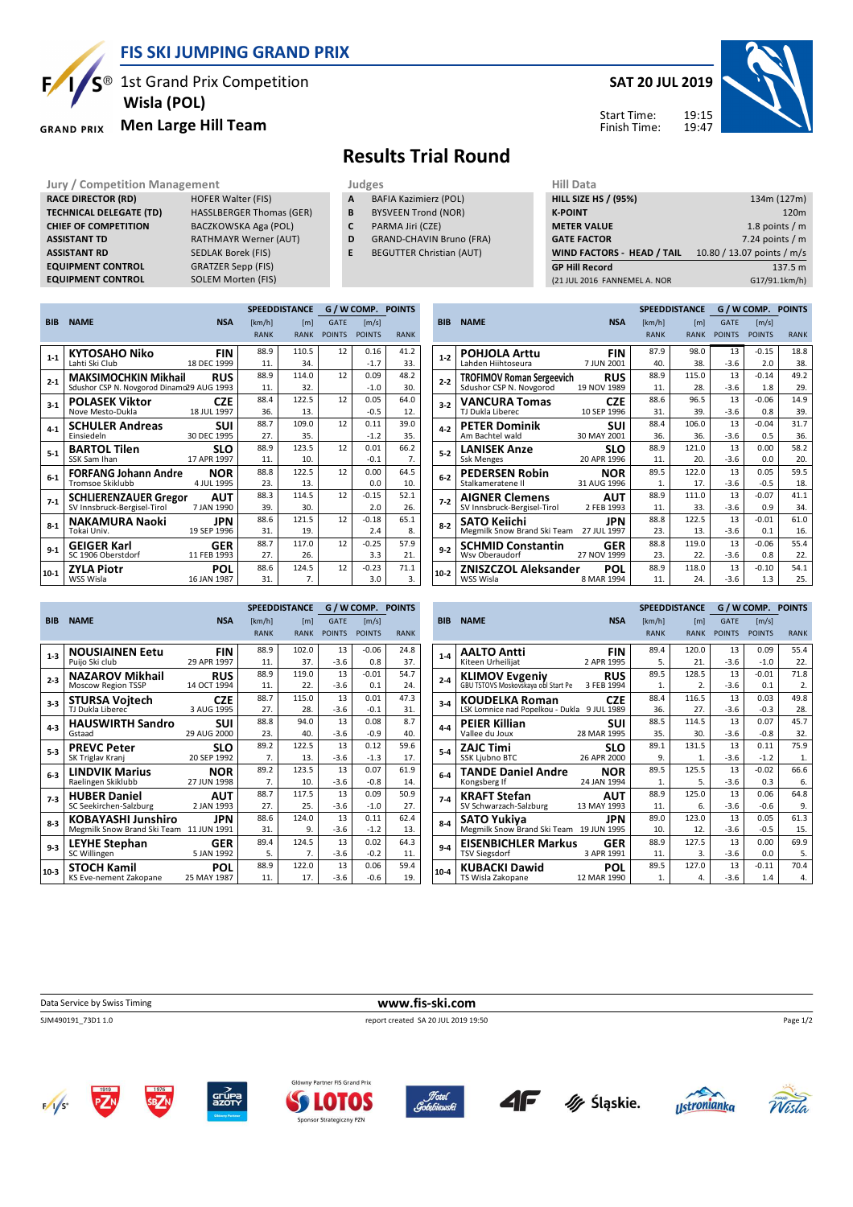

**EQUIPMENT CONTROL** 

#### **FIS SKI JUMPING GRAND PRIX**

 $S^{\circledast}$  1st Grand Prix Competition  **Wisla (POL)**

**RACE DIRECTOR (RD)** HOFER Walter (FIS) **TECHNICAL DELEGATE (TD)** HASSLBERGER Thomas (GER) **CHIEF OF COMPETITION** BACZKOWSKA Aga (POL) **ASSISTANT TD** RATHMAYR Werner (AUT) **ASSISTANT RD** SEDLAK Borek (FIS)<br>**EQUIPMENT CONTROL** GRATZER Sepp (FIS)

**EQUIPMENT CONTROL** SOLEM Morten (FIS)

**Men Large Hill Team GRAND PRIX** 

#### **SAT 20 JUL 2019**





# **Results Trial Round**

**Jury / Competition Management department on the Uudges of American Hill Data** 

- **A** BAFIA Kazimierz (POL)
- **B** BYSVEEN Trond (NOR)
- **C** PARMA Jiri (CZE)
- **D** GRAND-CHAVIN Bruno (FRA)
- **E** BEGUTTER Christian (AUT)

| нш рата                      |                            |
|------------------------------|----------------------------|
| <b>HILL SIZE HS / (95%)</b>  | 134m (127m)                |
| <b>K-POINT</b>               | 120 <sub>m</sub>           |
| <b>METER VALUE</b>           | 1.8 points $/m$            |
| <b>GATE FACTOR</b>           | 7.24 points $/m$           |
| WIND FACTORS - HEAD / TAIL   | 10.80 / 13.07 points / m/s |
| <b>GP Hill Record</b>        | 137.5 m                    |
| (21 JUL 2016 FANNEMEL A. NOR | G17/91.1km/h)              |
|                              |                            |

|            |                                           |             |             | <b>SPEEDDISTANCE</b> |               | G / W COMP. POINTS |             |
|------------|-------------------------------------------|-------------|-------------|----------------------|---------------|--------------------|-------------|
| <b>BIB</b> | <b>NAME</b>                               | <b>NSA</b>  | [km/h]      | [m]                  | <b>GATE</b>   | [m/s]              |             |
|            |                                           |             | <b>RANK</b> | <b>RANK</b>          | <b>POINTS</b> | <b>POINTS</b>      | <b>RANK</b> |
| $1 - 1$    | KYTOSAHO Niko                             | FIN         | 88.9        | 110.5                | 12            | 0.16               | 41.2        |
|            | Lahti Ski Club                            | 18 DEC 1999 | 11.         | 34.                  |               | $-1.7$             | 33.         |
| $2 - 1$    | <b>MAKSIMOCHKIN Mikhail</b>               | <b>RUS</b>  | 88.9        | 114.0                | 12            | 0.09               | 48.2        |
|            | Sdushor CSP N. Novgorod Dinamo29 AUG 1993 |             | 11.         | 32.                  |               | $-1.0$             | 30.         |
| $3 - 1$    | <b>POLASEK Viktor</b>                     | <b>CZE</b>  | 88.4        | 122.5                | 12            | 0.05               | 64.0        |
|            | Nove Mesto-Dukla                          | 18 JUL 1997 | 36.         | 13.                  |               | $-0.5$             | 12.         |
| $4 - 1$    | <b>SCHULER Andreas</b>                    | SUI         | 88.7        | 109.0                | 12            | 0.11               | 39.0        |
|            | Einsiedeln                                | 30 DEC 1995 | 27.         | 35.                  |               | $-1.2$             | 35.         |
| $5-1$      | <b>BARTOL Tilen</b>                       | <b>SLO</b>  | 88.9        | 123.5                | 12            | 0.01               | 66.2        |
|            | SSK Sam Ihan                              | 17 APR 1997 | 11.         | 10.                  |               | $-0.1$             | 7.          |
| $6-1$      | <b>FORFANG Johann Andre</b>               | <b>NOR</b>  | 88.8        | 122.5                | 12            | 0.00               | 64.5        |
|            | Tromsoe Skiklubb                          | 4 JUL 1995  | 23.         | 13.                  |               | 0.0                | 10.         |
| $7-1$      | <b>SCHLIERENZAUER Gregor</b>              | <b>AUT</b>  | 88.3        | 114.5                | 12            | $-0.15$            | 52.1        |
|            | SV Innsbruck-Bergisel-Tirol               | 7 JAN 1990  | 39.         | 30.                  |               | 2.0                | 26.         |
| $8-1$      | <b>NAKAMURA Naoki</b>                     | JPN         | 88.6        | 121.5                | 12            | $-0.18$            | 65.1        |
|            | Tokai Univ.                               | 19 SEP 1996 | 31.         | 19.                  |               | 2.4                | 8.          |
|            | <b>GEIGER Karl</b>                        | <b>GER</b>  | 88.7        | 117.0                | 12            | $-0.25$            | 57.9        |
| $9 - 1$    | SC 1906 Oberstdorf                        | 11 FEB 1993 | 27.         | 26.                  |               | 3.3                | 21.         |
| $10 - 1$   | <b>ZYLA Piotr</b>                         | <b>POL</b>  | 88.6        | 124.5                | 12            | $-0.23$            | 71.1        |
|            | WSS Wisla                                 | 16 JAN 1987 | 31.         | 7.                   |               | 3.0                | 3.          |

|            |                                  |             |             | <b>SPEEDDISTANCE</b> |               | G / W COMP. POINTS |             |
|------------|----------------------------------|-------------|-------------|----------------------|---------------|--------------------|-------------|
| <b>BIB</b> | <b>NAME</b>                      | <b>NSA</b>  | [km/h]      | [m]                  | <b>GATE</b>   | [m/s]              |             |
|            |                                  |             | <b>RANK</b> | <b>RANK</b>          | <b>POINTS</b> | <b>POINTS</b>      | <b>RANK</b> |
| $1 - 2$    | <b>POHJOLA Arttu</b>             | FIN         | 87.9        | 98.0                 | 13            | $-0.15$            | 18.8        |
|            | Lahden Hiihtoseura               | 7 JUN 2001  | 40.         | 38.                  | $-3.6$        | 2.0                | 38.         |
| $2 - 2$    | <b>TROFIMOV Roman Sergeevich</b> | <b>RUS</b>  | 88.9        | 115.0                | 13            | $-0.14$            | 49.2        |
|            | Sdushor CSP N. Novgorod          | 19 NOV 1989 | 11.         | 28.                  | $-3.6$        | 1.8                | 29.         |
| $3-2$      | <b>VANCURA Tomas</b>             | <b>CZE</b>  | 88.6        | 96.5                 | 13            | $-0.06$            | 14.9        |
|            | TJ Dukla Liberec                 | 10 SEP 1996 | 31.         | 39.                  | $-3.6$        | 0.8                | 39.         |
| $4 - 2$    | <b>PETER Dominik</b>             | <b>SUI</b>  | 88.4        | 106.0                | 13            | $-0.04$            | 31.7        |
|            | Am Bachtel wald                  | 30 MAY 2001 | 36.         | 36.                  | $-3.6$        | 0.5                | 36.         |
| $5 - 2$    | <b>LANISEK Anze</b>              | SLO         | 88.9        | 121.0                | 13            | 0.00               | 58.2        |
|            | <b>Ssk Menges</b>                | 20 APR 1996 | 11.         | 20.                  | $-3.6$        | 0.0                | 20.         |
| $6-2$      | <b>PEDERSEN Robin</b>            | <b>NOR</b>  | 89.5        | 122.0                | 13            | 0.05               | 59.5        |
|            | Stalkameratene II                | 31 AUG 1996 | 1.          | 17.                  | $-3.6$        | $-0.5$             | 18.         |
| $7-2$      | <b>AIGNER Clemens</b>            | AUT         | 88.9        | 111.0                | 13            | $-0.07$            | 41.1        |
|            | SV Innsbruck-Bergisel-Tirol      | 2 FEB 1993  | 11.         | 33.                  | $-3.6$        | 0.9                | 34.         |
| $8 - 2$    | <b>SATO Keiichi</b>              | <b>JPN</b>  | 88.8        | 122.5                | 13            | $-0.01$            | 61.0        |
|            | Megmilk Snow Brand Ski Team      | 27 JUL 1997 | 23.         | 13.                  | $-3.6$        | 0.1                | 16.         |
| $9-2$      | <b>SCHMID Constantin</b>         | <b>GER</b>  | 88.8        | 119.0                | 13            | $-0.06$            | 55.4        |
|            | Wsv Oberaudorf                   | 27 NOV 1999 | 23.         | 22.                  | $-3.6$        | 0.8                | 22.         |
| $10-2$     | <b>ZNISZCZOL Aleksander</b>      | <b>POL</b>  | 88.9        | 118.0                | 13            | $-0.10$            | 54.1        |
|            | WSS Wisla                        | 8 MAR 1994  | 11.         | 24.                  | $-3.6$        | 1.3                | 25.         |

|            |                                         |             |             | <b>SPEEDDISTANCE</b> |               | G / W COMP. POINTS |             |
|------------|-----------------------------------------|-------------|-------------|----------------------|---------------|--------------------|-------------|
| <b>BIB</b> | <b>NAME</b>                             | <b>NSA</b>  | [km/h]      | [m]                  | <b>GATE</b>   | [m/s]              |             |
|            |                                         |             | <b>RANK</b> | <b>RANK</b>          | <b>POINTS</b> | <b>POINTS</b>      | <b>RANK</b> |
| $1 - 3$    | <b>NOUSIAINEN Eetu</b>                  | <b>FIN</b>  | 88.9        | 102.0                | 13            | $-0.06$            | 24.8        |
|            | Puijo Ski club                          | 29 APR 1997 | 11.         | 37.                  | $-3.6$        | 0.8                | 37.         |
| $2 - 3$    | <b>NAZAROV Mikhail</b>                  | <b>RUS</b>  | 88.9        | 119.0                | 13            | $-0.01$            | 54.7        |
|            | <b>Moscow Region TSSP</b>               | 14 OCT 1994 | 11.         | 22.                  | $-3.6$        | 0.1                | 24.         |
| $3 - 3$    | <b>STURSA Vojtech</b>                   | <b>CZE</b>  | 88.7        | 115.0                | 13            | 0.01               | 47.3        |
|            | TJ Dukla Liberec                        | 3 AUG 1995  | 27.         | 28.                  | $-3.6$        | $-0.1$             | 31.         |
| $4 - 3$    | <b>HAUSWIRTH Sandro</b>                 | SUI         | 88.8        | 94.0                 | 13            | 0.08               | 8.7         |
|            | Gstaad                                  | 29 AUG 2000 | 23.         | 40.                  | $-3.6$        | $-0.9$             | 40.         |
| $5-3$      | <b>PREVC Peter</b>                      | <b>SLO</b>  | 89.2        | 122.5                | 13            | 0.12               | 59.6        |
|            | SK Triglav Kranj                        | 20 SEP 1992 | 7.          | 13.                  | $-3.6$        | $-1.3$             | 17.         |
| $6-3$      | <b>LINDVIK Marius</b>                   | <b>NOR</b>  | 89.2        | 123.5                | 13            | 0.07               | 61.9        |
|            | Raelingen Skiklubb                      | 27 JUN 1998 | 7.          | 10.                  | $-3.6$        | $-0.8$             | 14.         |
| $7-3$      | <b>HUBER Daniel</b>                     | AUT         | 88.7        | 117.5                | 13            | 0.09               | 50.9        |
|            | SC Seekirchen-Salzburg                  | 2 JAN 1993  | 27.         | 25.                  | $-3.6$        | $-1.0$             | 27.         |
| $8 - 3$    | KOBAYASHI Junshiro                      | JPN         | 88.6        | 124.0                | 13            | 0.11               | 62.4        |
|            | Megmilk Snow Brand Ski Team 11 JUN 1991 |             | 31.         | 9.                   | $-3.6$        | $-1.2$             | 13.         |
| $9 - 3$    | <b>LEYHE Stephan</b>                    | <b>GER</b>  | 89.4        | 124.5                | 13            | 0.02               | 64.3        |
|            | SC Willingen                            | 5 JAN 1992  | 5.          | 7.                   | $-3.6$        | $-0.2$             | 11.         |
| $10-3$     | <b>STOCH Kamil</b>                      | POL         | 88.9        | 122.0                | 13            | 0.06               | 59.4        |
|            | KS Eve-nement Zakopane                  | 25 MAY 1987 | 11.         | 17.                  | $-3.6$        | $-0.6$             | 19.         |

|            |                                                   |             | <b>SPEEDDISTANCE</b> |               | G / W COMP. POINTS |             |
|------------|---------------------------------------------------|-------------|----------------------|---------------|--------------------|-------------|
| <b>BIB</b> | <b>NSA</b><br><b>NAME</b>                         | [km/h]      | [ml]                 | <b>GATE</b>   | [m/s]              |             |
|            |                                                   | <b>RANK</b> | <b>RANK</b>          | <b>POINTS</b> | <b>POINTS</b>      | <b>RANK</b> |
| $1-4$      | <b>AALTO Antti</b><br><b>FIN</b>                  | 89.4        | 120.0                | 13            | 0.09               | 55.4        |
|            | 2 APR 1995<br>Kiteen Urheilijat                   | 5.          | 21.                  | $-3.6$        | $-1.0$             | 22.         |
| $2 - 4$    | <b>RUS</b><br><b>KLIMOV Evgeniy</b>               | 89.5        | 128.5                | 13            | $-0.01$            | 71.8        |
|            | GBU TSTOVS Moskovskaya obl Start Pe<br>3 FEB 1994 | 1.          | 2.                   | $-3.6$        | 0.1                | 2.          |
| $3-4$      | <b>CZE</b><br><b>KOUDELKA Roman</b>               | 88.4        | 116.5                | 13            | 0.03               | 49.8        |
|            | LSK Lomnice nad Popelkou - Dukla<br>9 JUL 1989    | 36.         | 27.                  | $-3.6$        | $-0.3$             | 28.         |
| $4 - 4$    | <b>PEIER Killian</b><br>SUI                       | 88.5        | 114.5                | 13            | 0.07               | 45.7        |
|            | 28 MAR 1995<br>Vallee du Joux                     | 35.         | 30.                  | $-3.6$        | $-0.8$             | 32.         |
| $5 - 4$    | ZAJC Timi<br><b>SLO</b>                           | 89.1        | 131.5                | 13            | 0.11               | 75.9        |
|            | 26 APR 2000<br><b>SSK Ljubno BTC</b>              | 9.          | 1.                   | $-3.6$        | $-1.2$             | 1.          |
| $6-4$      | <b>TANDE Daniel Andre</b><br><b>NOR</b>           | 89.5        | 125.5                | 13            | $-0.02$            | 66.6        |
|            | Kongsberg If<br>24 JAN 1994                       | 1.          | 5.                   | $-3.6$        | 0.3                | 6.          |
| $7-4$      | <b>KRAFT Stefan</b><br><b>AUT</b>                 | 88.9        | 125.0                | 13            | 0.06               | 64.8        |
|            | SV Schwarzach-Salzburg<br>13 MAY 1993             | 11.         | 6.                   | $-3.6$        | $-0.6$             | 9.          |
| $8-4$      | JPN<br>SATO Yukiya                                | 89.0        | 123.0                | 13            | 0.05               | 61.3        |
|            | Megmilk Snow Brand Ski Team 19 JUN 1995           | 10.         | 12.                  | $-3.6$        | $-0.5$             | 15.         |
| $9 - 4$    | <b>EISENBICHLER Markus</b><br><b>GER</b>          | 88.9        | 127.5                | 13            | 0.00               | 69.9        |
|            | 3 APR 1991<br><b>TSV Siegsdorf</b>                | 11.         | 3.                   | $-3.6$        | 0.0                | 5.          |
| $10-4$     | <b>KUBACKI Dawid</b><br>POL                       | 89.5        | 127.0                | 13            | $-0.11$            | 70.4        |
|            | 12 MAR 1990<br>TS Wisla Zakopane                  | 1.          | 4.                   | $-3.6$        | 1.4                | 4.          |

Data Service by Swiss Timing **www.fis-ski.com**

SJM490191\_73D1 1.0 report created SA 20 JUL 2019 19:50